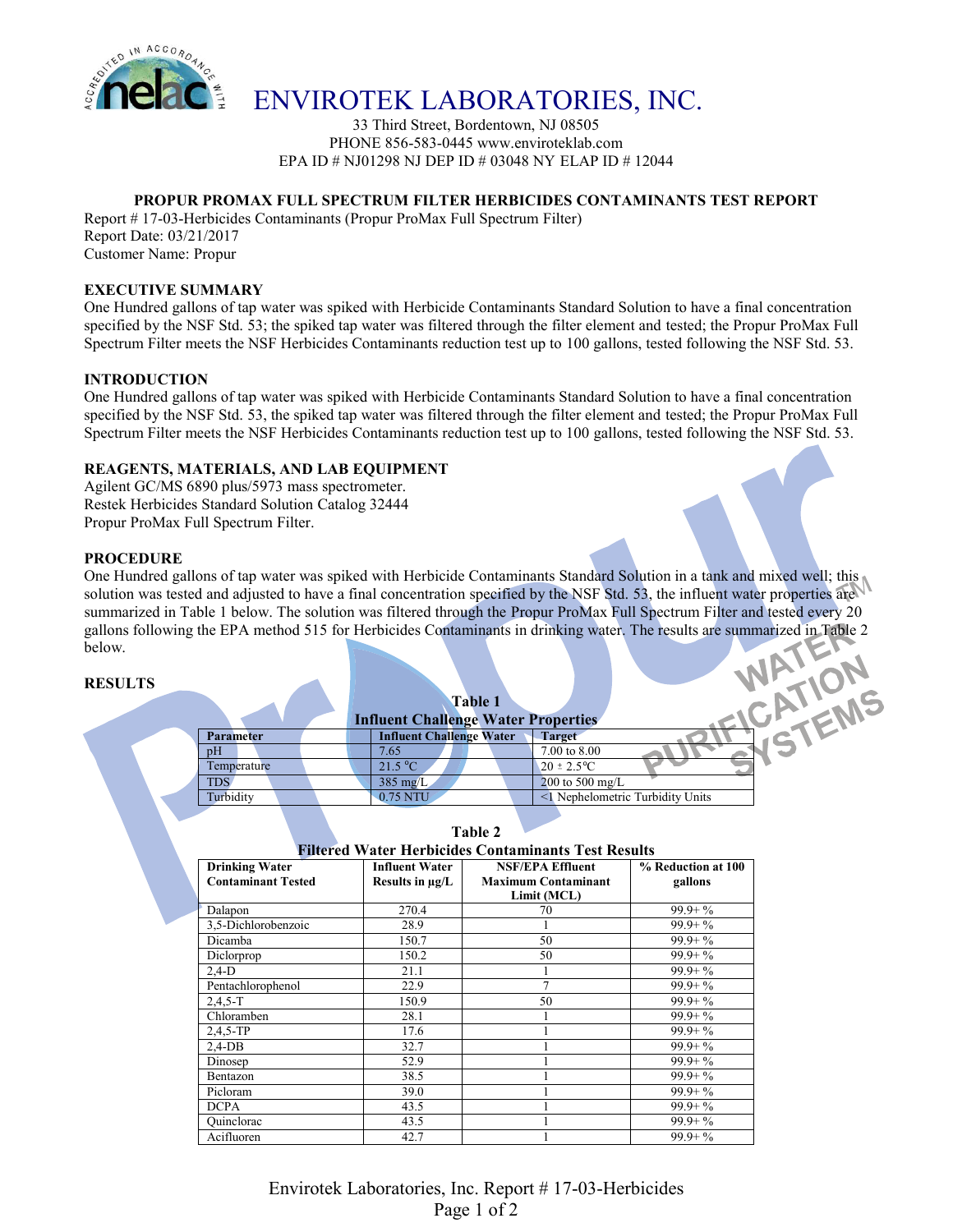

# ENVIROTEK LABORATORIES, INC.

33 Third Street, Bordentown, NJ 08505 PHONE 856-583-0445 www.enviroteklab.com EPA ID # NJ01298 NJ DEP ID # 03048 NY ELAP ID # 12044

## **PROPUR PROMAX FULL SPECTRUM FILTER HERBICIDES CONTAMINANTS TEST REPORT**

Report # 17-03-Herbicides Contaminants (Propur ProMax Full Spectrum Filter) Report Date: 03/21/2017 Customer Name: Propur

#### **EXECUTIVE SUMMARY**

One Hundred gallons of tap water was spiked with Herbicide Contaminants Standard Solution to have a final concentration specified by the NSF Std. 53; the spiked tap water was filtered through the filter element and tested; the Propur ProMax Full Spectrum Filter meets the NSF Herbicides Contaminants reduction test up to 100 gallons, tested following the NSF Std. 53.

#### **INTRODUCTION**

One Hundred gallons of tap water was spiked with Herbicide Contaminants Standard Solution to have a final concentration specified by the NSF Std. 53, the spiked tap water was filtered through the filter element and tested; the Propur ProMax Full Spectrum Filter meets the NSF Herbicides Contaminants reduction test up to 100 gallons, tested following the NSF Std. 53.

# **REAGENTS, MATERIALS, AND LAB EQUIPMENT**

Agilent GC/MS 6890 plus/5973 mass spectrometer. Restek Herbicides Standard Solution Catalog 32444 Propur ProMax Full Spectrum Filter.

#### **PROCEDURE**

One Hundred gallons of tap water was spiked with Herbicide Contaminants Standard Solution in a tank and mixed well; this solution was tested and adjusted to have a final concentration specified by the NSF Std. 53, the influent water properties are summarized in Table 1 below. The solution was filtered through the Propur ProMax Full Spectrum Filter and tested every 20 gallons following the EPA method 515 for Herbicides Contaminants in drinking water. The results are summarized in Table 2 below.

#### **RESULTS**

|                                            |                  |          | <b>Table 1</b>                                   |                                  |  |
|--------------------------------------------|------------------|----------|--------------------------------------------------|----------------------------------|--|
| <b>Influent Challenge Water Properties</b> |                  |          |                                                  |                                  |  |
|                                            | <b>Parameter</b> |          | <b>Influent Challenge Water</b><br><b>Target</b> |                                  |  |
|                                            | pH               | 7.65     |                                                  | 7.00 to 8.00                     |  |
|                                            | Temperature      | 21.5 °C  |                                                  | $20 \pm 2.5^{\circ}C$            |  |
|                                            | TDS              | 385 mg/L |                                                  | 200 to 500 mg/L                  |  |
|                                            | Turbidity        | 0.75 NTU |                                                  | <1 Nephelometric Turbidity Units |  |
|                                            |                  |          |                                                  |                                  |  |

| <b>Filtered Water Herbicides Contaminants Test Results</b> |  |
|------------------------------------------------------------|--|

| <b>Drinking Water</b><br><b>Contaminant Tested</b> | <b>Influent Water</b><br>Results in µg/L | <b>NSF/EPA Effluent</b><br><b>Maximum Contaminant</b> | % Reduction at 100<br>gallons |
|----------------------------------------------------|------------------------------------------|-------------------------------------------------------|-------------------------------|
|                                                    |                                          | Limit (MCL)                                           |                               |
| Dalapon                                            | 270.4                                    | 70                                                    | $99.9 + \%$                   |
| 3,5-Dichlorobenzoic                                | 28.9                                     |                                                       | $99.9 + \%$                   |
| Dicamba                                            | 150.7                                    | 50                                                    | $99.9 + \%$                   |
| Diclorprop                                         | 150.2                                    | 50                                                    | $99.9 + \%$                   |
| $2,4-D$                                            | 21.1                                     |                                                       | $99.9 + \%$                   |
| Pentachlorophenol                                  | 22.9                                     | $\overline{7}$                                        | $99.9 + \%$                   |
| $2,4,5-T$                                          | 150.9                                    | 50                                                    | $99.9 + \%$                   |
| Chloramben                                         | 28.1                                     |                                                       | $99.9 + \%$                   |
| $2,4,5$ -TP                                        | 17.6                                     |                                                       | $99.9 + \%$                   |
| $2,4-DB$                                           | 32.7                                     |                                                       | $99.9 + \%$                   |
| Dinosep                                            | 52.9                                     |                                                       | $99.9 + \%$                   |
| Bentazon                                           | 38.5                                     |                                                       | $99.9 + \%$                   |
| Picloram                                           | 39.0                                     |                                                       | $99.9 + \%$                   |
| <b>DCPA</b>                                        | 43.5                                     |                                                       | $99.9 + \%$                   |
| Ouinclorac                                         | 43.5                                     |                                                       | $99.9 + \%$                   |
| Acifluoren                                         | 42.7                                     |                                                       | $99.9 + \%$                   |

Envirotek Laboratories, Inc. Report # 17-03-Herbicides Page 1 of 2